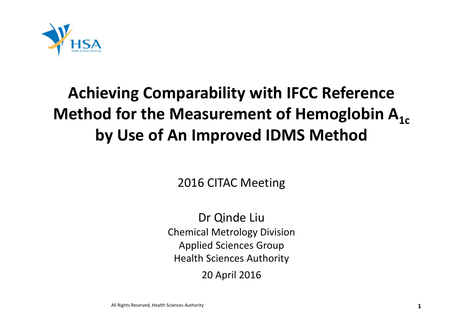

## **Achieving Comparability with IFCC Reference Method for the Measurement of Hemoglobin**  $\mathsf{A}_{\mathsf{1c}}$ **by Use of An Improved IDMS Method**

2016 CITAC Meeting

Dr Qinde Liu Chemical Metrology Division Applied Sciences Group Health Sciences Authority 20 April 2016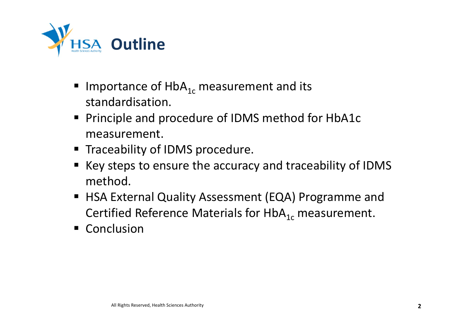

- Importance of  $HbA_{1c}$  measurement and its standardisation.
- **Principle and procedure of IDMS method for HbA1c** measurement.
- **Traceability of IDMS procedure.**
- Key steps to ensure the accuracy and traceability of IDMS method.
- **HISA External Quality Assessment (EQA) Programme and** Certified Reference Materials for HbA $_{1c}$  measurement.
- **Conclusion**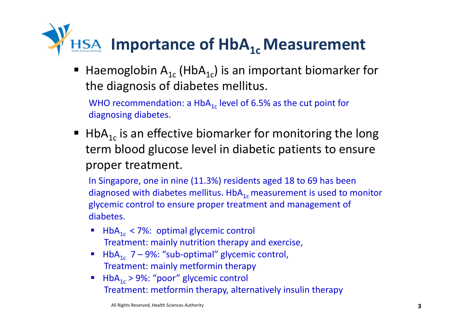

Haemoglobin  $A_{1c}$  (Hb $A_{1c}$ ) is an important biomarker for the diagnosis of diabetes mellitus.

WHO recommendation: a HbA $_{1c}$  level of 6.5% as the cut point for diagnosing diabetes.

 $\blacksquare$  HbA<sub>1c</sub> is an effective biomarker for monitoring the long term blood glucose level in diabetic patients to ensure proper treatment.

In Singapore, one in nine (11.3%) residents aged 18 to 69 has been diagnosed with diabetes mellitus.  $HbA_{1c}$  measurement is used to monitor glycemic control to ensure proper treatment and management of diabetes.

- HbA<sub>1c</sub> < 7%: optimal glycemic control Treatment: mainly nutrition therapy and exercise,
- HbA<sub>1c</sub> 7 9%: "sub-optimal" glycemic control, Treatment: mainly metformin therapy
- $\blacksquare$  HbA<sub>1c</sub> > 9%: "poor" glycemic control Treatment: metformin therapy, alternatively insulin therapy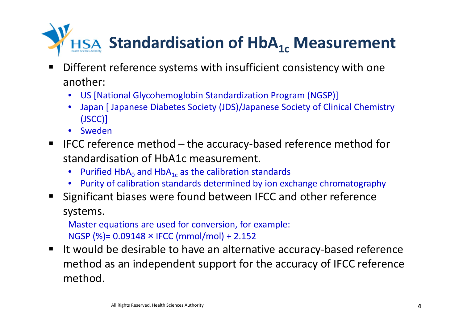

- ٠ ■ Different reference systems with insufficient consistency with one another:
	- US [National Glycohemoglobin Standardization Program (NGSP)]
	- Japan [ Japanese Diabetes Society (JDS)/Japanese Society of Clinical Chemistry (JSCC)]
	- Sweden
- IFCC reference method the accuracy-based reference method for standardisation of HbA1c measurement.
	- •• Purified HbA<sub>0</sub> and HbA<sub>1c</sub> as the calibration standards
	- Purity of calibration standards determined by ion exchange chromatography
- Significant biases were found between IFCC and other reference systems.

Master equations are used for conversion, for example: NGSP (%)= 0.09148 <sup>×</sup> IFCC (mmol/mol) <sup>+</sup> 2.152

٠ ■ It would be desirable to have an alternative accuracy-based reference method as an independent support for the accuracy of IFCC reference method.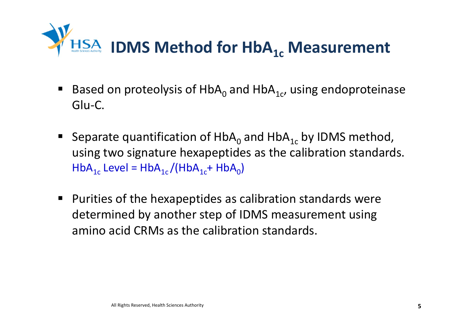

- **Based on proteolysis of HbA<sub>0</sub> and HbA<sub>1c</sub>, using endoproteinase** Glu‐C.
- Separate quantification of  $HbA_0$  and  $HbA_{1c}$  by IDMS method, using two signature hexapeptides as the calibration standards.  $\mathsf{HbA}_{1\mathfrak{c}}$  Level =  $\mathsf{HbA}_{1\mathfrak{c}}/(\mathsf{HbA}_{1\mathfrak{c}}+\mathsf{HbA}_0)$
- Purities of the hexapeptides as calibration standards were determined by another step of IDMS measurement using amino acid CRMs as the calibration standards.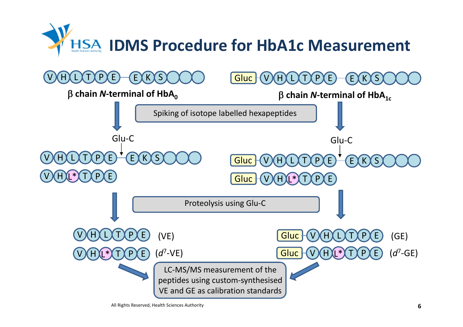



All Rights Reserved, Health Sciences Authority **6**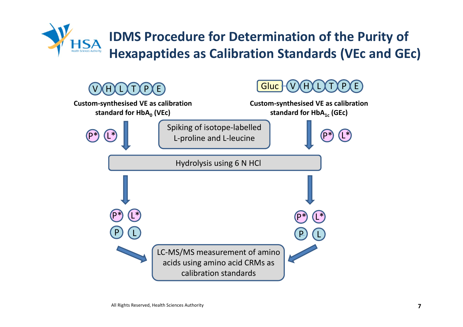

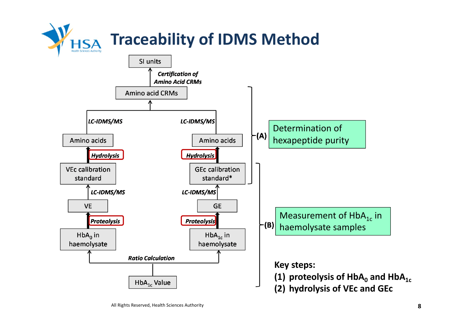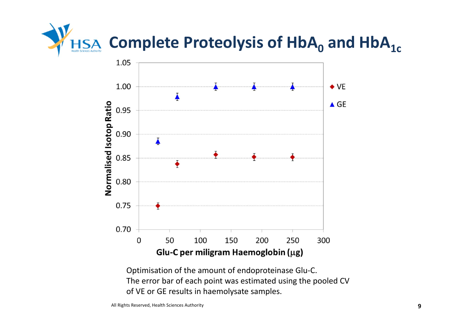



Optimisation of the amount of endoproteinase Glu‐C. The error bar of each point was estimated using the pooled CV of VE or GE results in haemolysate samples.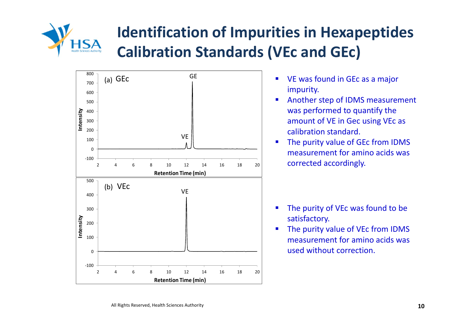

## **Identification of Impurities in Hexapeptides Calibration Standards (VEc and GEc)**



- $\blacksquare$  VE was found in GEc as <sup>a</sup> major impurity.
- $\mathcal{L}_{\mathcal{A}}$  Another step of IDMS measurement was performed to quantify the amount of VE in Gec using VEc as calibration standard.
- $\blacksquare$ **The purity value of GEc from IDMS** measurement for amino acids was corrected accordingly.

- $\blacksquare$ • The purity of VEc was found to be satisfactory.
- $\blacksquare$ **The purity value of VEc from IDMS** measurement for amino acids was used without correction.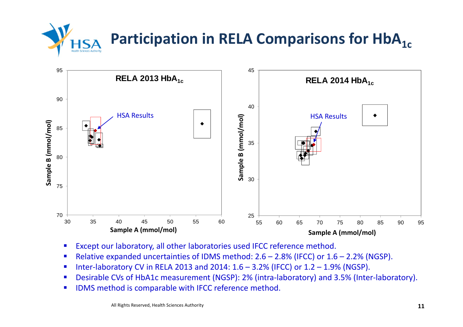**Participation in RELA Comparisons for HbA<sub>1c</sub>** 



- $\blacksquare$ Except our laboratory, all other laboratories used IFCC reference method.
- $\blacksquare$ ■ Relative expanded uncertainties of IDMS method: 2.6 – 2.8% (IFCC) or 1.6 – 2.2% (NGSP).
- $\blacksquare$ Inter‐laboratory CV in RELA 2013 and 2014: 1.6 – 3.2% (IFCC) or 1.2 – 1.9% (NGSP).
- $\blacksquare$ ■ Desirable CVs of HbA1c measurement (NGSP): 2% (intra-laboratory) and 3.5% (Inter-laboratory).
- $\blacksquare$ **IDMS** method is comparable with IFCC reference method.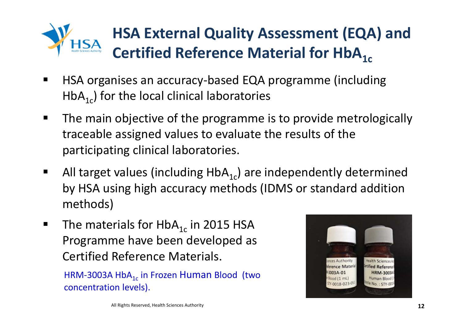

## **HSA External Quality Assessment (EQA) and Certified Reference Material for HbA** $_{1c}$

- E ■ HSA organises an accuracy-based EQA programme (including  $HbA_{1c}$ ) for the local clinical laboratories
- $\blacksquare$ **The main objective of the programme is to provide metrologically** traceable assigned values to evaluate the results of the participating clinical laboratories.
- П All target values (including  $HbA_{1c}$ ) are independently determined by HSA using high accuracy methods (IDMS or standard addition methods)
- П The materials for HbA<sub>1c</sub> in 2015 HSA Programme have been developed as Certified Reference Materials.

HRM-3003A HbA $_{\rm 1c}$  in Frozen  ${\sf Human \ Blood \ \ (two}$ concentration levels).

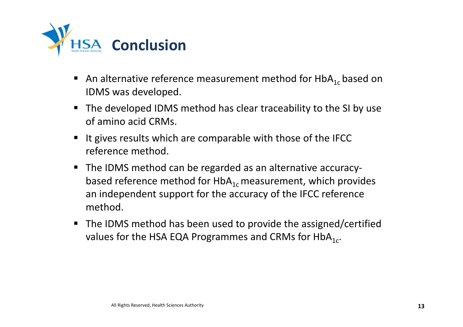

- An alternative reference measurement method for HbA<sub>1c</sub> based on IDMS was developed.
- The developed IDMS method has clear traceability to the SI by use of amino acid CRMs.
- ٠ It gives results which are comparable with those of the IFCC reference method.
- The IDMS method can be regarded as an alternative accuracybased reference method for HbA $_{1\rm c}$  measurement, which provides an independent support for the accuracy of the IFCC reference method.
- The IDMS method has been used to provide the assigned/certified values for the HSA EQA Programmes and CRMs for HbA $_{1c}$ .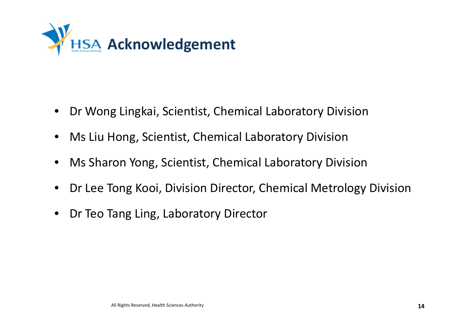

- Dr Wong Lingkai, Scientist, Chemical Laboratory Division
- Ms Liu Hong, Scientist, Chemical Laboratory Division
- $\bullet$ Ms Sharon Yong, Scientist, Chemical Laboratory Division
- $\bullet$ Dr Lee Tong Kooi, Division Director, Chemical Metrology Division
- $\bullet$ Dr Teo Tang Ling, Laboratory Director